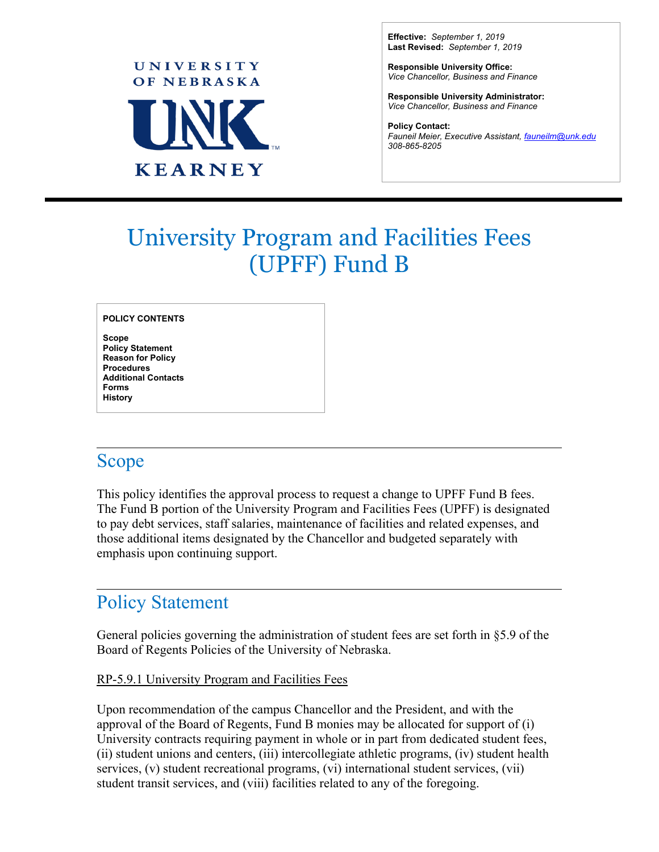

**Effective:** *September 1, 2019* **Last Revised:** *September 1, 2019*

**Responsible University Office:** *Vice Chancellor, Business and Finance*

**Responsible University Administrator:** *Vice Chancellor, Business and Finance*

**Policy Contact:** *Fauneil Meier, Executive Assistant, [fauneilm@unk.edu](mailto:fauneilm@unk.edu) 308-865-8205*

 $\overline{a}$ 

# University Program and Facilities Fees (UPFF) Fund B

**POLICY CONTENTS**

**Scope Policy Statement Reason for Policy Procedures Additional Contacts Forms History**

#### Scope

This policy identifies the approval process to request a change to UPFF Fund B fees. The Fund B portion of the University Program and Facilities Fees (UPFF) is designated to pay debt services, staff salaries, maintenance of facilities and related expenses, and those additional items designated by the Chancellor and budgeted separately with emphasis upon continuing support.

# Policy Statement

General policies governing the administration of student fees are set forth in §5.9 of the Board of Regents Policies of the University of Nebraska.

#### RP-5.9.1 University Program and Facilities Fees

Upon recommendation of the campus Chancellor and the President, and with the approval of the Board of Regents, Fund B monies may be allocated for support of (i) University contracts requiring payment in whole or in part from dedicated student fees, (ii) student unions and centers, (iii) intercollegiate athletic programs, (iv) student health services, (v) student recreational programs, (vi) international student services, (vii) student transit services, and (viii) facilities related to any of the foregoing.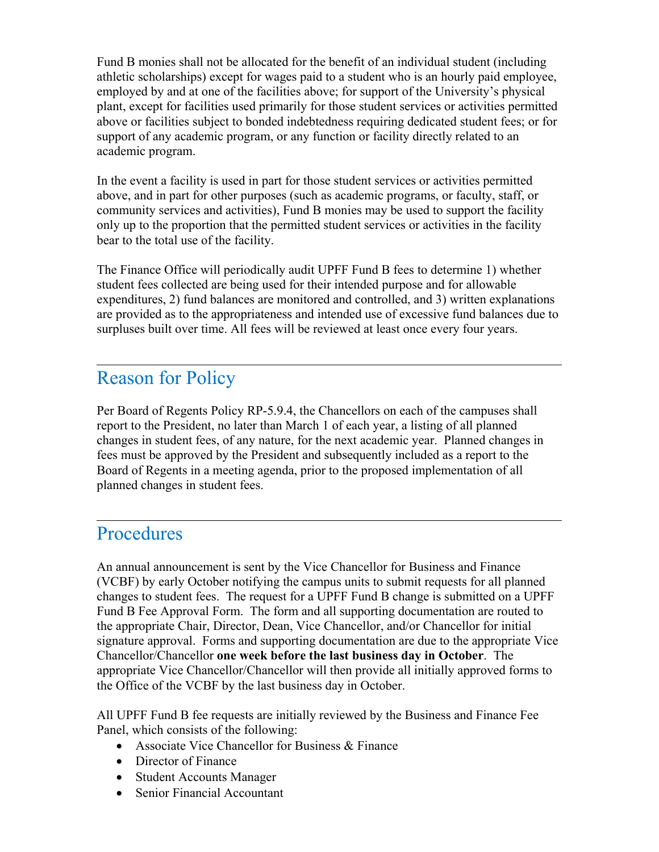Fund B monies shall not be allocated for the benefit of an individual student (including athletic scholarships) except for wages paid to a student who is an hourly paid employee, employed by and at one of the facilities above; for support of the University's physical plant, except for facilities used primarily for those student services or activities permitted above or facilities subject to bonded indebtedness requiring dedicated student fees; or for support of any academic program, or any function or facility directly related to an academic program.

In the event a facility is used in part for those student services or activities permitted above, and in part for other purposes (such as academic programs, or faculty, staff, or community services and activities), Fund B monies may be used to support the facility only up to the proportion that the permitted student services or activities in the facility bear to the total use of the facility.

The Finance Office will periodically audit UPFF Fund B fees to determine 1) whether student fees collected are being used for their intended purpose and for allowable expenditures, 2) fund balances are monitored and controlled, and 3) written explanations are provided as to the appropriateness and intended use of excessive fund balances due to surpluses built over time. All fees will be reviewed at least once every four years.

### Reason for Policy

Per Board of Regents Policy RP-5.9.4, the Chancellors on each of the campuses shall report to the President, no later than March 1 of each year, a listing of all planned changes in student fees, of any nature, for the next academic year. Planned changes in fees must be approved by the President and subsequently included as a report to the Board of Regents in a meeting agenda, prior to the proposed implementation of all planned changes in student fees.

# **Procedures**

An annual announcement is sent by the Vice Chancellor for Business and Finance (VCBF) by early October notifying the campus units to submit requests for all planned changes to student fees. The request for a UPFF Fund B change is submitted on a UPFF Fund B Fee Approval Form. The form and all supporting documentation are routed to the appropriate Chair, Director, Dean, Vice Chancellor, and/or Chancellor for initial signature approval. Forms and supporting documentation are due to the appropriate Vice Chancellor/Chancellor **one week before the last business day in October**. The appropriate Vice Chancellor/Chancellor will then provide all initially approved forms to the Office of the VCBF by the last business day in October.

All UPFF Fund B fee requests are initially reviewed by the Business and Finance Fee Panel, which consists of the following:

- Associate Vice Chancellor for Business & Finance
- Director of Finance
- Student Accounts Manager
- Senior Financial Accountant